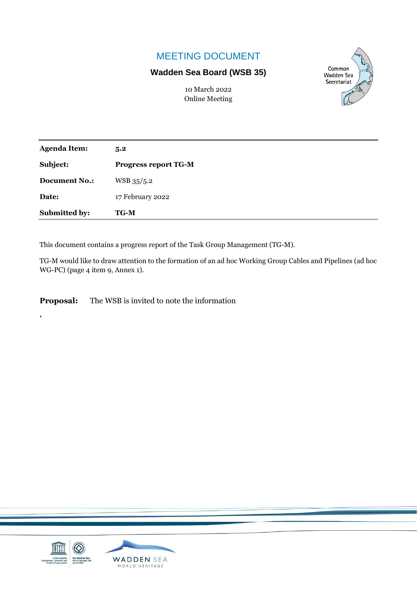# MEETING DOCUMENT

# **Wadden Sea Board (WSB 35)**

Common **Wadden Sea** Secretariat

10 March 2022 Online Meeting

| <b>Agenda Item:</b>  | 5.2                         |
|----------------------|-----------------------------|
| Subject:             | <b>Progress report TG-M</b> |
| <b>Document No.:</b> | WSB 35/5.2                  |
| Date:                | 17 February 2022            |
| <b>Submitted by:</b> | <b>TG-M</b>                 |

This document contains a progress report of the Task Group Management (TG-M).

TG-M would like to draw attention to the formation of an ad hoc Working Group Cables and Pipelines (ad hoc WG-PC) (page 4 item 9, Annex 1).

**Proposal:** The WSB is invited to note the information

**.**

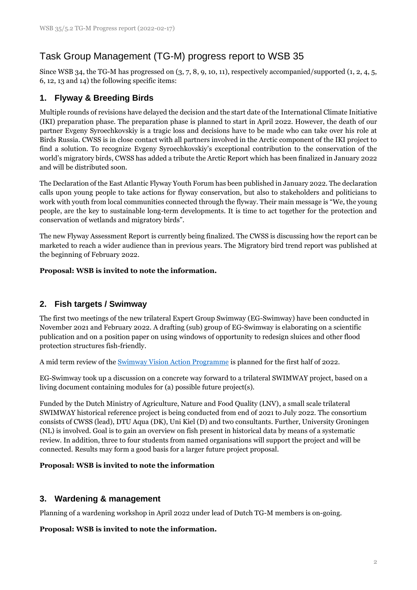# Task Group Management (TG-M) progress report to WSB 35

Since WSB 34, the TG-M has progressed on (3, 7, 8, 9, 10, 11), respectively accompanied/supported (1, 2, 4, 5, 6, 12, 13 and 14) the following specific items:

# **1. Flyway & Breeding Birds**

Multiple rounds of revisions have delayed the decision and the start date of the International Climate Initiative (IKI) preparation phase. The preparation phase is planned to start in April 2022. However, the death of our partner Evgeny Syroechkovskiy is a tragic loss and decisions have to be made who can take over his role at Birds Russia. CWSS is in close contact with all partners involved in the Arctic component of the IKI project to find a solution. To recognize Evgeny Syroechkovskiy's exceptional contribution to the conservation of the world's migratory birds, CWSS has added a tribute the Arctic Report which has been finalized in January 2022 and will be distributed soon.

The Declaration of the East Atlantic Flyway Youth Forum has been published in January 2022. The declaration calls upon young people to take actions for flyway conservation, but also to stakeholders and politicians to work with youth from local communities connected through the flyway. Their main message is "We, the young people, are the key to sustainable long-term developments. It is time to act together for the protection and conservation of wetlands and migratory birds".

The new Flyway Assessment Report is currently being finalized. The CWSS is discussing how the report can be marketed to reach a wider audience than in previous years. The Migratory bird trend report was published at the beginning of February 2022.

### **Proposal: WSB is invited to note the information.**

# **2. Fish targets / Swimway**

The first two meetings of the new trilateral Expert Group Swimway (EG-Swimway) have been conducted in November 2021 and February 2022. A drafting (sub) group of EG-Swimway is elaborating on a scientific publication and on a position paper on using windows of opportunity to redesign sluices and other flood protection structures fish-friendly.

A mid term review of the [Swimway Vision Action Programme](https://www.waddensea-secretariat.org/resources/trilateral-wadden-sea-swimway-vision-action-programme) is planned for the first half of 2022.

EG-Swimway took up a discussion on a concrete way forward to a trilateral SWIMWAY project, based on a living document containing modules for (a) possible future project(s).

Funded by the Dutch Ministry of Agriculture, Nature and Food Quality (LNV), a small scale trilateral SWIMWAY historical reference project is being conducted from end of 2021 to July 2022. The consortium consists of CWSS (lead), DTU Aqua (DK), Uni Kiel (D) and two consultants. Further, University Groningen (NL) is involved. Goal is to gain an overview on fish present in historical data by means of a systematic review. In addition, three to four students from named organisations will support the project and will be connected. Results may form a good basis for a larger future project proposal.

### **Proposal: WSB is invited to note the information**

### **3. Wardening & management**

Planning of a wardening workshop in April 2022 under lead of Dutch TG-M members is on-going.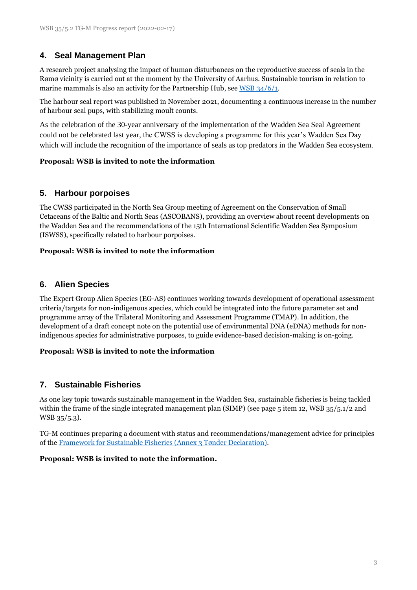# **4. Seal Management Plan**

A research project analysing the impact of human disturbances on the reproductive success of seals in the Rømø vicinity is carried out at the moment by the University of Aarhus. Sustainable tourism in relation to marine mammals is also an activity for the Partnership Hub, see WSB [34/6/1.](https://www.waddensea-worldheritage.org/system/files/WSB-34-6-1-OPteamPH%20progress_report28-10-21.pdf)

The harbour seal report was published in November 2021, documenting a continuous increase in the number of harbour seal pups, with stabilizing moult counts.

As the celebration of the 30-year anniversary of the implementation of the Wadden Sea Seal Agreement could not be celebrated last year, the CWSS is developing a programme for this year's Wadden Sea Day which will include the recognition of the importance of seals as top predators in the Wadden Sea ecosystem.

#### **Proposal: WSB is invited to note the information**

### **5. Harbour porpoises**

The CWSS participated in the North Sea Group meeting of Agreement on the Conservation of Small Cetaceans of the Baltic and North Seas (ASCOBANS), providing an overview about recent developments on the Wadden Sea and the recommendations of the 15th International Scientific Wadden Sea Symposium (ISWSS), specifically related to harbour porpoises.

#### **Proposal: WSB is invited to note the information**

### **6. Alien Species**

The Expert Group Alien Species (EG-AS) continues working towards development of operational assessment criteria/targets for non-indigenous species, which could be integrated into the future parameter set and programme array of the Trilateral Monitoring and Assessment Programme (TMAP). In addition, the development of a draft concept note on the potential use of environmental DNA (eDNA) methods for nonindigenous species for administrative purposes, to guide evidence-based decision-making is on-going.

#### **Proposal: WSB is invited to note the information**

### **7. Sustainable Fisheries**

As one key topic towards sustainable management in the Wadden Sea, sustainable fisheries is being tackled within the frame of the single integrated management plan (SIMP) (see page 5 item 12, WSB 35/5.1/2 and WSB 35/5.3).

TG-M continues preparing a document with status and recommendations/management advice for principles of the [Framework for Sustainable Fisheries \(Annex 3 Tønder Declaration\).](https://www.waddensea-worldheritage.org/resources/framework-sustainable-fisheries)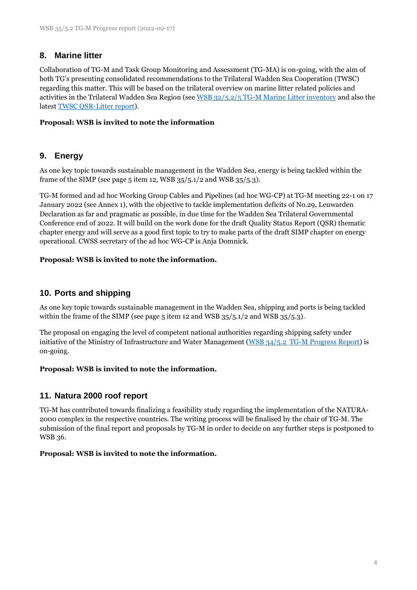### **8. Marine litter**

Collaboration of TG-M and Task Group Monitoring and Assessment (TG-MA) is on-going, with the aim of both TG's presenting consolidated recommendations to the Trilateral Wadden Sea Cooperation (TWSC) regarding this matter. This will be based on the trilateral overview on marine litter related policies and activities in the Trilateral Wadden Sea Region (see [WSB 32/5.2/5 TG-M Marine Litter inventory](https://www.waddensea-worldheritage.org/system/files/WSB-32-5-2-5-tg%20m%20marine%20litter.pdf) and also the latest [TWSC QSR-Litter report\)](https://qsr.waddensea-worldheritage.org/reports/marine-litter).

#### **Proposal: WSB is invited to note the information**

# **9. Energy**

As one key topic towards sustainable management in the Wadden Sea, energy is being tackled within the frame of the SIMP (see page 5 item 12, WSB 35/5.1/2 and WSB 35/5.3).

TG-M formed and ad hoc Working Group Cables and Pipelines (ad hoc WG-CP) at TG-M meeting 22-1 on 17 January 2022 (see Annex 1), with the objective to tackle implementation deficits of No.29, Leuwarden Declaration as far and pragmatic as possible, in due time for the Wadden Sea Trilateral Governmental Conference end of 2022. It will build on the work done for the draft Quality Status Report (QSR) thematic chapter energy and will serve as a good first topic to try to make parts of the draft SIMP chapter on energy operational. CWSS secretary of the ad hoc WG-CP is Anja Domnick.

#### **Proposal: WSB is invited to note the information.**

### **10. Ports and shipping**

As one key topic towards sustainable management in the Wadden Sea, shipping and ports is being tackled within the frame of the SIMP (see page 5 item 12 and WSB 35/5.1/2 and WSB 35/5.3).

The proposal on engaging the level of competent national authorities regarding shipping safety under initiative of the Ministry of Infrastructure and Water Management [\(WSB 34/5.2 TG-M Progress Report\)](https://www.waddensea-worldheritage.org/system/files/WSB-34-5-2-tg%20m%20progress%20report_0.pdf) is on-going.

#### **Proposal: WSB is invited to note the information.**

### **11. Natura 2000 roof report**

TG-M has contributed towards finalizing a feasibility study regarding the implementation of the NATURA-2000 complex in the respective countries. The writing process will be finalised by the chair of TG-M. The submission of the final report and proposals by TG-M in order to decide on any further steps is postponed to WSB 36.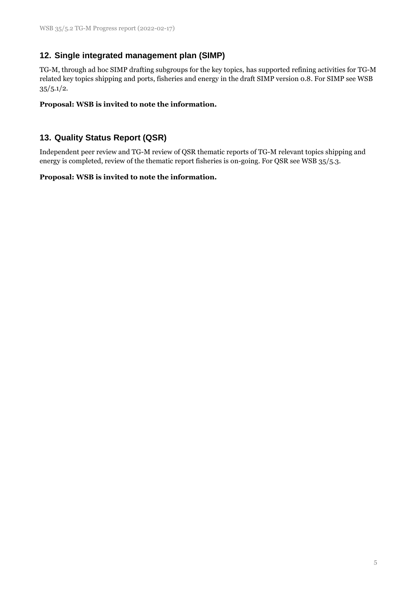# **12. Single integrated management plan (SIMP)**

TG-M, through ad hoc SIMP drafting subgroups for the key topics, has supported refining activities for TG-M related key topics shipping and ports, fisheries and energy in the draft SIMP version 0.8. For SIMP see WSB  $35/5.1/2.$ 

#### **Proposal: WSB is invited to note the information.**

# **13. Quality Status Report (QSR)**

Independent peer review and TG-M review of QSR thematic reports of TG-M relevant topics shipping and energy is completed, review of the thematic report fisheries is on-going. For QSR see WSB 35/5.3.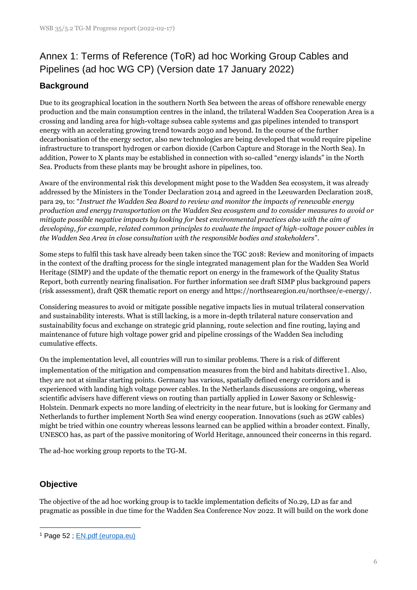# Annex 1: Terms of Reference (ToR) ad hoc Working Group Cables and Pipelines (ad hoc WG CP) (Version date 17 January 2022)

# **Background**

Due to its geographical location in the southern North Sea between the areas of offshore renewable energy production and the main consumption centres in the inland, the trilateral Wadden Sea Cooperation Area is a crossing and landing area for high-voltage subsea cable systems and gas pipelines intended to transport energy with an accelerating growing trend towards 2030 and beyond. In the course of the further decarbonisation of the energy sector, also new technologies are being developed that would require pipeline infrastructure to transport hydrogen or carbon dioxide (Carbon Capture and Storage in the North Sea). In addition, Power to X plants may be established in connection with so-called "energy islands" in the North Sea. Products from these plants may be brought ashore in pipelines, too.

Aware of the environmental risk this development might pose to the Wadden Sea ecosystem, it was already addressed by the Ministers in the Tonder Declaration 2014 and agreed in the Leeuwarden Declaration 2018, para 29, to: "*Instruct the Wadden Sea Board to review and monitor the impacts of renewable energy production and energy transportation on the Wadden Sea ecosystem and to consider measures to avoid or mitigate possible negative impacts by looking for best environmental practices also with the aim of developing, for example, related common principles to evaluate the impact of high-voltage power cables in the Wadden Sea Area in close consultation with the responsible bodies and stakeholders*".

Some steps to fulfil this task have already been taken since the TGC 2018: Review and monitoring of impacts in the context of the drafting process for the single integrated management plan for the Wadden Sea World Heritage (SIMP) and the update of the thematic report on energy in the framework of the Quality Status Report, both currently nearing finalisation. For further information see draft SIMP plus background papers (risk assessment), draft QSR thematic report on energy and [https://northsearegion.eu/northsee/e-energy/.](https://northsearegion.eu/northsee/e-energy/)

Considering measures to avoid or mitigate possible negative impacts lies in mutual trilateral conservation and sustainability interests. What is still lacking, is a more in-depth trilateral nature conservation and sustainability focus and exchange on strategic grid planning, route selection and fine routing, laying and maintenance of future high voltage power grid and pipeline crossings of the Wadden Sea including cumulative effects.

On the implementation level, all countries will run to similar problems. There is a risk of different implementation of the mitigation and compensation measures from the bird and habitats directive1. Also, they are not at similar starting points. Germany has various, spatially defined energy corridors and is experienced with landing high voltage power cables. In the Netherlands discussions are ongoing, whereas scientific advisers have different views on routing than partially applied in Lower Saxony or Schleswig-Holstein. Denmark expects no more landing of electricity in the near future, but is looking for Germany and Netherlands to further implement North Sea wind energy cooperation. Innovations (such as 2GW cables) might be tried within one country whereas lessons learned can be applied within a broader context. Finally, UNESCO has, as part of the passive monitoring of World Heritage, announced their concerns in this regard.

The ad-hoc working group reports to the TG-M.

# **Objective**

The objective of the ad hoc working group is to tackle implementation deficits of No.29, LD as far and pragmatic as possible in due time for the Wadden Sea Conference Nov 2022. It will build on the work done

<sup>1</sup> Page 52 ; [EN.pdf \(europa.eu\)](https://ec.europa.eu/environment/nature/natura2000/management/pdf/methodological-guidance_2021-10/EN.pdf)